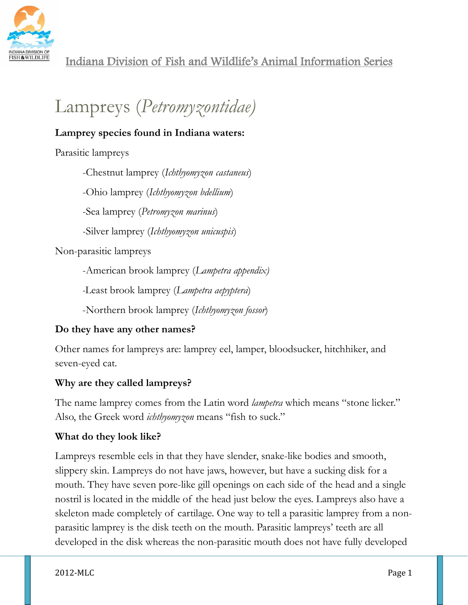

# Lampreys (*Petromyzontidae)*

## **Lamprey species found in Indiana waters:**

Parasitic lampreys

-Chestnut lamprey (*Ichthyomyzon castaneus*)

-Ohio lamprey (*Ichthyomyzon bdellium*)

-Sea lamprey (*Petromyzon marinus*)

-Silver lamprey (*Ichthyomyzon unicuspis*)

Non-parasitic lampreys

-American brook lamprey (*Lampetra appendix)*

*-*Least brook lamprey (*Lampetra aepyptera*)

-Northern brook lamprey (*Ichthyomyzon fossor*)

# **Do they have any other names?**

Other names for lampreys are: lamprey eel, lamper, bloodsucker, hitchhiker, and seven-eyed cat.

# **Why are they called lampreys?**

The name lamprey comes from the Latin word *lampetra* which means "stone licker." Also, the Greek word *ichthyomyzon* means "fish to suck."

## **What do they look like?**

Lampreys resemble eels in that they have slender, snake-like bodies and smooth, slippery skin. Lampreys do not have jaws, however, but have a sucking disk for a mouth. They have seven pore-like gill openings on each side of the head and a single nostril is located in the middle of the head just below the eyes. Lampreys also have a skeleton made completely of cartilage. One way to tell a parasitic lamprey from a nonparasitic lamprey is the disk teeth on the mouth. Parasitic lampreys' teeth are all developed in the disk whereas the non-parasitic mouth does not have fully developed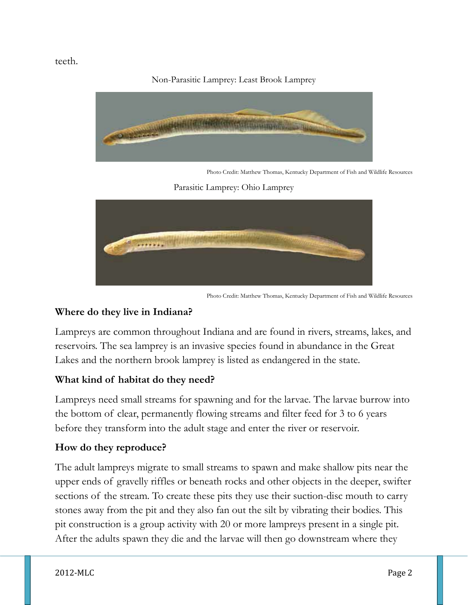teeth.

Non-Parasitic Lamprey: Least Brook Lamprey



Photo Credit: Matthew Thomas, Kentucky Department of Fish and Wildlife Resources

Parasitic Lamprey: Ohio Lamprey



Photo Credit: Matthew Thomas, Kentucky Department of Fish and Wildlife Resources

## **Where do they live in Indiana?**

Lampreys are common throughout Indiana and are found in rivers, streams, lakes, and reservoirs. The sea lamprey is an invasive species found in abundance in the Great Lakes and the northern brook lamprey is listed as endangered in the state.

## **What kind of habitat do they need?**

Lampreys need small streams for spawning and for the larvae. The larvae burrow into the bottom of clear, permanently flowing streams and filter feed for 3 to 6 years before they transform into the adult stage and enter the river or reservoir.

## **How do they reproduce?**

The adult lampreys migrate to small streams to spawn and make shallow pits near the upper ends of gravelly riffles or beneath rocks and other objects in the deeper, swifter sections of the stream. To create these pits they use their suction-disc mouth to carry stones away from the pit and they also fan out the silt by vibrating their bodies. This pit construction is a group activity with 20 or more lampreys present in a single pit. After the adults spawn they die and the larvae will then go downstream where they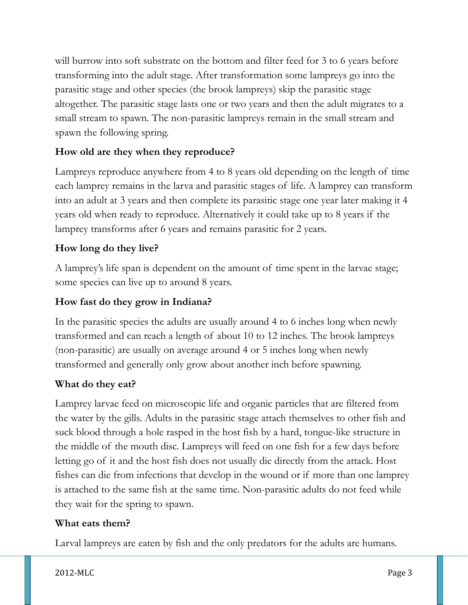will burrow into soft substrate on the bottom and filter feed for 3 to 6 years before transforming into the adult stage. After transformation some lampreys go into the parasitic stage and other species (the brook lampreys) skip the parasitic stage altogether. The parasitic stage lasts one or two years and then the adult migrates to a small stream to spawn. The non-parasitic lampreys remain in the small stream and spawn the following spring.

## **How old are they when they reproduce?**

Lampreys reproduce anywhere from 4 to 8 years old depending on the length of time each lamprey remains in the larva and parasitic stages of life. A lamprey can transform into an adult at 3 years and then complete its parasitic stage one year later making it 4 years old when ready to reproduce. Alternatively it could take up to 8 years if the lamprey transforms after 6 years and remains parasitic for 2 years.

## **How long do they live?**

A lamprey's life span is dependent on the amount of time spent in the larvae stage; some species can live up to around 8 years.

## **How fast do they grow in Indiana?**

In the parasitic species the adults are usually around 4 to 6 inches long when newly transformed and can reach a length of about 10 to 12 inches. The brook lampreys (non-parasitic) are usually on average around 4 or 5 inches long when newly transformed and generally only grow about another inch before spawning.

## **What do they eat?**

Lamprey larvae feed on microscopic life and organic particles that are filtered from the water by the gills. Adults in the parasitic stage attach themselves to other fish and suck blood through a hole rasped in the host fish by a hard, tongue-like structure in the middle of the mouth disc. Lampreys will feed on one fish for a few days before letting go of it and the host fish does not usually die directly from the attack. Host fishes can die from infections that develop in the wound or if more than one lamprey is attached to the same fish at the same time. Non-parasitic adults do not feed while they wait for the spring to spawn.

## **What eats them?**

Larval lampreys are eaten by fish and the only predators for the adults are humans.